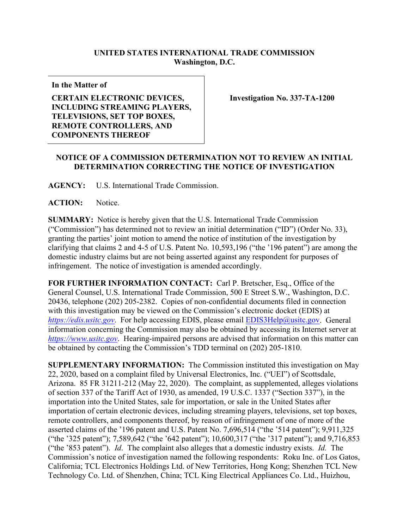## **UNITED STATES INTERNATIONAL TRADE COMMISSION Washington, D.C.**

**In the Matter of**

## **CERTAIN ELECTRONIC DEVICES, INCLUDING STREAMING PLAYERS, TELEVISIONS, SET TOP BOXES, REMOTE CONTROLLERS, AND COMPONENTS THEREOF**

**Investigation No. 337-TA-1200**

## **NOTICE OF A COMMISSION DETERMINATION NOT TO REVIEW AN INITIAL DETERMINATION CORRECTING THE NOTICE OF INVESTIGATION**

**AGENCY:** U.S. International Trade Commission.

**ACTION:** Notice.

**SUMMARY:** Notice is hereby given that the U.S. International Trade Commission ("Commission") has determined not to review an initial determination ("ID") (Order No. 33), granting the parties' joint motion to amend the notice of institution of the investigation by clarifying that claims 2 and 4-5 of U.S. Patent No. 10,593,196 ("the '196 patent") are among the domestic industry claims but are not being asserted against any respondent for purposes of infringement. The notice of investigation is amended accordingly.

**FOR FURTHER INFORMATION CONTACT:** Carl P. Bretscher, Esq., Office of the General Counsel, U.S. International Trade Commission, 500 E Street S.W., Washington, D.C. 20436, telephone (202) 205-2382. Copies of non-confidential documents filed in connection with this investigation may be viewed on the Commission's electronic docket (EDIS) at *[https://edis.usitc.gov](https://edis.usitc.gov/).* For help accessing EDIS, please email [EDIS3Help@usitc.gov.](mailto:EDIS3Help@usitc.gov) General information concerning the Commission may also be obtained by accessing its Internet server at *[https://www.usitc.gov](https://www.usitc.gov/)*. Hearing-impaired persons are advised that information on this matter can be obtained by contacting the Commission's TDD terminal on (202) 205-1810.

**SUPPLEMENTARY INFORMATION:** The Commission instituted this investigation on May 22, 2020, based on a complaint filed by Universal Electronics, Inc. ("UEI") of Scottsdale, Arizona. 85 FR 31211-212 (May 22, 2020). The complaint, as supplemented, alleges violations of section 337 of the Tariff Act of 1930, as amended, 19 U.S.C. 1337 ("Section 337"), in the importation into the United States, sale for importation, or sale in the United States after importation of certain electronic devices, including streaming players, televisions, set top boxes, remote controllers, and components thereof, by reason of infringement of one of more of the asserted claims of the '196 patent and U.S. Patent No. 7,696,514 ("the '514 patent"); 9,911,325 ("the '325 patent"); 7,589,642 ("the '642 patent"); 10,600,317 ("the '317 patent"); and 9,716,853 ("the '853 patent"). *Id*. The complaint also alleges that a domestic industry exists. *Id.* The Commission's notice of investigation named the following respondents: Roku Inc. of Los Gatos, California; TCL Electronics Holdings Ltd. of New Territories, Hong Kong; Shenzhen TCL New Technology Co. Ltd. of Shenzhen, China; TCL King Electrical Appliances Co. Ltd., Huizhou,